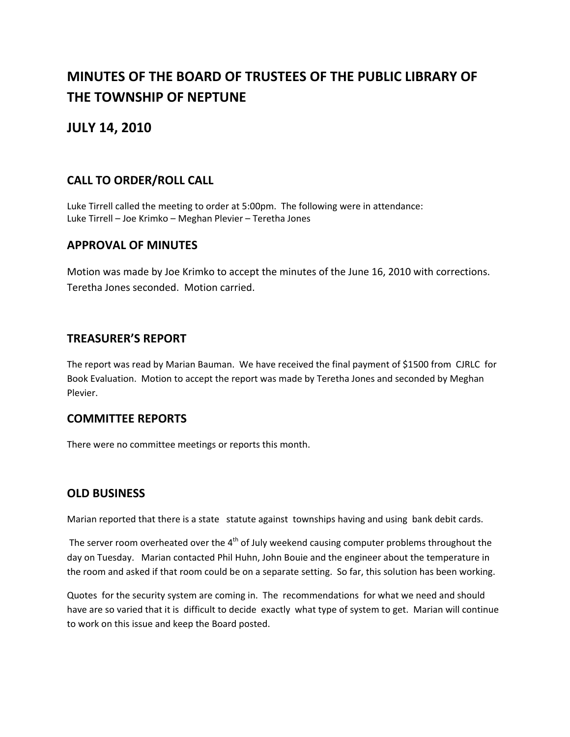# **MINUTES OF THE BOARD OF TRUSTEES OF THE PUBLIC LIBRARY OF THE TOWNSHIP OF NEPTUNE**

# **JULY 14, 2010**

## **CALL TO ORDER/ROLL CALL**

Luke Tirrell called the meeting to order at 5:00pm. The following were in attendance: Luke Tirrell – Joe Krimko – Meghan Plevier – Teretha Jones

#### **APPROVAL OF MINUTES**

Motion was made by Joe Krimko to accept the minutes of the June 16, 2010 with corrections. Teretha Jones seconded. Motion carried.

## **TREASURER'S REPORT**

The report was read by Marian Bauman. We have received the final payment of \$1500 from CJRLC for Book Evaluation. Motion to accept the report was made by Teretha Jones and seconded by Meghan Plevier.

#### **COMMITTEE REPORTS**

There were no committee meetings or reports this month.

## **OLD BUSINESS**

Marian reported that there is a state statute against townships having and using bank debit cards.

The server room overheated over the  $4<sup>th</sup>$  of July weekend causing computer problems throughout the day on Tuesday. Marian contacted Phil Huhn, John Bouie and the engineer about the temperature in the room and asked if that room could be on a separate setting. So far, this solution has been working.

Quotes for the security system are coming in. The recommendations for what we need and should have are so varied that it is difficult to decide exactly what type of system to get. Marian will continue to work on this issue and keep the Board posted.